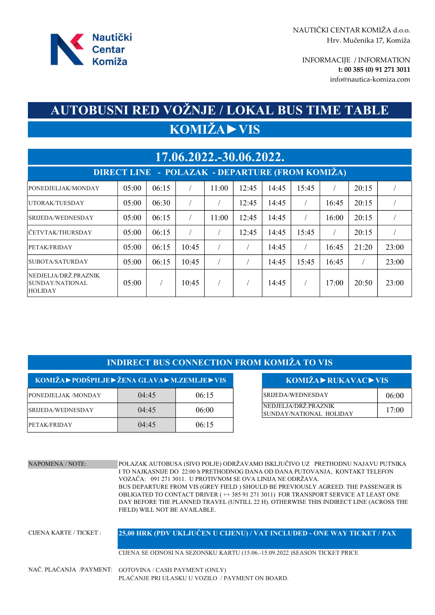

info@nautica-komiza.com INFORMACIJE / INFORMATION t: 00 385 (0) 91 271 3011

## KOMIŽA►VIS AUTOBUSNI RED VOŽNJE / LOKAL BUS TIME TABLE

| 17.06.2022.-30.06.2022.                                    |        |       |       |       |       |       |       |       |       |       |
|------------------------------------------------------------|--------|-------|-------|-------|-------|-------|-------|-------|-------|-------|
| DIRECT LINE - POLAZAK - DEPARTURE (FROM KOMIŻA)            |        |       |       |       |       |       |       |       |       |       |
| PONEDJELJAK/MONDAY                                         | 05:00  | 06:15 |       | 11:00 | 12:45 | 14:45 | 15:45 |       | 20:15 |       |
| UTORAK/TUESDAY                                             | 05:00  | 06:30 |       |       | 12:45 | 14:45 |       | 16:45 | 20:15 |       |
| SRIJEDA/WEDNESDAY                                          | 05:00  | 06:15 |       | 11:00 | 12:45 | 14:45 |       | 16:00 | 20:15 |       |
| lčetvtak/thursday                                          | 05:00  | 06:15 |       |       | 12:45 | 14:45 | 15:45 |       | 20:15 |       |
| PETAK/FRIDAY                                               | 05:00  | 06:15 | 10:45 |       |       | 14:45 |       | 16:45 | 21:20 | 23:00 |
| SUBOTA/SATURDAY                                            | 05:00  | 06:15 | 10:45 |       |       | 14:45 | 15:45 | 16:45 |       | 23:00 |
| NEDJELJA/DRŽ.PRAZNIK<br> SUNDAY/NATIONAL<br><b>HOLIDAY</b> | 0.5:00 |       | 10:45 |       |       | 14:45 |       | 17:00 | 20:50 | 23:00 |

## INDIRECT BUS CONNECTION FROM KOMIŽA TO VIS

| $KOMIŽA\triangleright PODŠPILJE\triangleright ŽENA GLAVA\triangleright M.ZEMLJE\triangleright VIS$ |       | $KOMIŽA \triangleright RUKAVAC \triangleright VIS$ |                                                  |       |
|----------------------------------------------------------------------------------------------------|-------|----------------------------------------------------|--------------------------------------------------|-------|
| PONEDJELJAK /MONDAY                                                                                | 04:45 | 06:15                                              | SRIJEDA/WEDNESDAY                                | 06:00 |
| <i><b>SRIJEDA/WEDNESDAY</b></i>                                                                    | 04:45 | 06:00                                              | NEDJELJA/DRŽ.PRAZNIK <br>SUNDAY/NATIONAL HOLIDAY | 17:00 |
| PETAK/FRIDAY                                                                                       | 04:45 | 06:15                                              |                                                  |       |

| LJE > VIS | KOMIŽA > RUKAVAC > VIS                                  |       |
|-----------|---------------------------------------------------------|-------|
| 06:15     | SRIJEDA/WEDNESDAY                                       | 06:00 |
| 06:00     | NEDJELJA/DRŽ.PRAZNIK<br><b>ISUNDAY/NATIONAL HOLIDAY</b> | 17:00 |

NAPOMENA / NOTE: POLAZAK AUTOBUSA (SIVO POLJE) ODRŽAVAMO ISKLJUČIVO UZ PRETHODNU NAJAVU PUTNIKA I TO NAJKASNIJE DO 22:00 h PRETHODNOG DANA OD DANA PUTOVANJA, KONTAKT TELEFON VOZAČA: 091 271 3011. U PROTIVNOM SE OVA LINIJA NE ODRŽAVA. BUS DEPARTURE FROM VIS (GREY FIELD ) SHOULD BE PREVIOUSLY AGREED. THE PASSENGER IS OBLIGATED TO CONTACT DRIVER ( ++ 385 91 271 3011) FOR TRANSPORT SERVICE AT LEAST ONE DAY BEFORE THE PLANNED TRAVEL (UNTILL 22 H). OTHERWISE THIS INDIRECT LINE (ACROSS THE FIELD) WILL NOT BE AVAILABLE.

CIJENA KARTE / TICKET : CIJENA SE ODNOSI NA SEZONSKU KARTU (15.06.-15.09.2022.)SEASON TICKET PRICE 25,00 HRK (PDV UKLJUČEN U CIJENU) / VAT INCLUDED - ONE WAY TICKET / PAX

NAČ. PLAĆANJA /PAYMENT: GOTOVINA / CASH PAYMENT (ONLY) PLAĆANJE PRI ULASKU U VOZILO / PAYMENT ON BOARD.